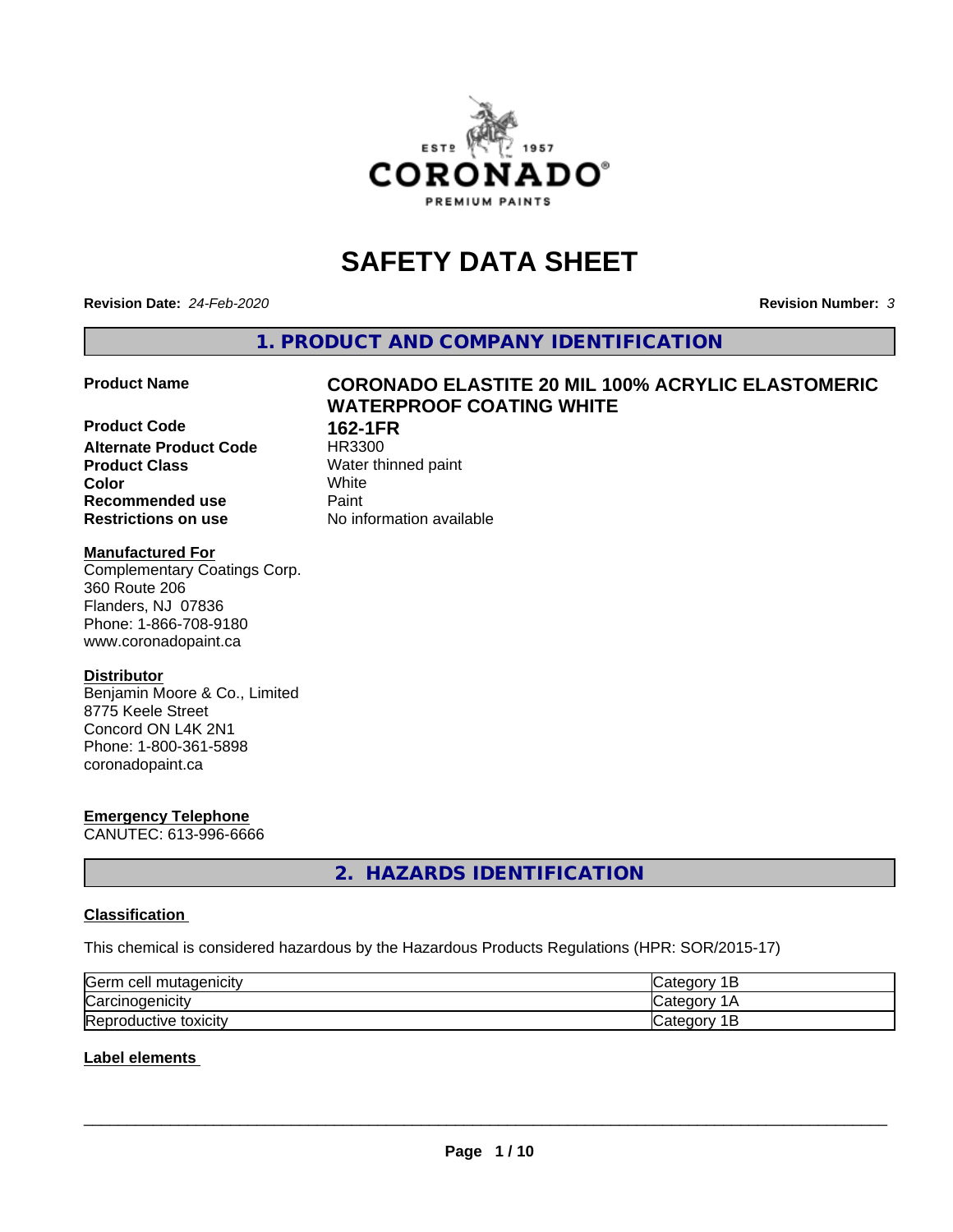

# **SAFETY DATA SHEET**

**Revision Date:** *24-Feb-2020* **Revision Number:** *3*

**1. PRODUCT AND COMPANY IDENTIFICATION**

**Product Code 162-1FR**<br>**Alternate Product Code 183300 Alternate Product Code**<br>Product Class **Product Class** Water thinned paint<br> **Color** White **Color** White **Recommended use Caint Restrictions on use** No information available

# **Product Name CORONADO ELASTITE 20 MIL 100% ACRYLIC ELASTOMERIC WATERPROOF COATING WHITE**

#### **Manufactured For**

Complementary Coatings Corp. 360 Route 206 Flanders, NJ 07836 Phone: 1-866-708-9180 www.coronadopaint.ca

# **Distributor**

Benjamin Moore & Co., Limited 8775 Keele Street Concord ON L4K 2N1 Phone: 1-800-361-5898 coronadopaint.ca

# **Emergency Telephone**

CANUTEC: 613-996-6666

# **2. HAZARDS IDENTIFICATION**

# **Classification**

This chemical is considered hazardous by the Hazardous Products Regulations (HPR: SOR/2015-17)

| Germ<br>mutagenicity<br>n cell | Just C<br>Ħ<br>∽       |
|--------------------------------|------------------------|
| Carcinogenicity                | -10                    |
| Reproductive<br>toxicity       | ിലെ.<br>п<br>vait<br>- |

# **Label elements**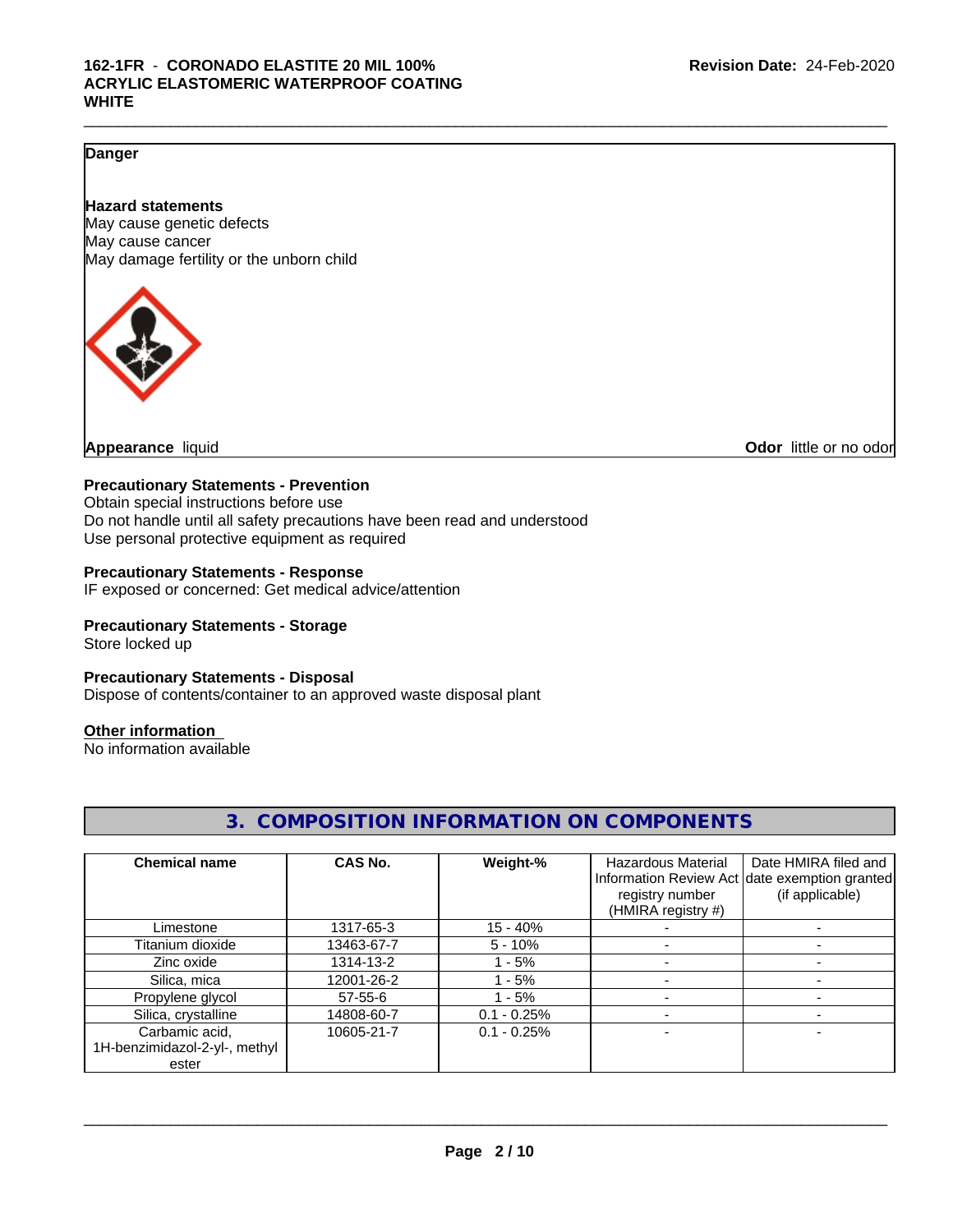# **Danger**

### **Hazard statements**

May cause genetic defects May cause cancer May damage fertility or the unborn child



**Appearance** liquid **CODO** *Appearance liquid* **Odor** *CODO CODO* **<b>***CODO CODO CODO CODO CODO* 

#### **Precautionary Statements - Prevention**

Obtain special instructions before use Do not handle until all safety precautions have been read and understood Use personal protective equipment as required

#### **Precautionary Statements - Response**

IF exposed or concerned: Get medical advice/attention

### **Precautionary Statements - Storage**

Store locked up

#### **Precautionary Statements - Disposal**

Dispose of contents/container to an approved waste disposal plant

#### **Other information**

No information available

|                               |            |               | U.  UUIVII UUITTUIN IINI UINVII ITUIN UIN UUIVII UINLINTU |                                               |
|-------------------------------|------------|---------------|-----------------------------------------------------------|-----------------------------------------------|
|                               |            |               |                                                           |                                               |
| <b>Chemical name</b>          | CAS No.    | Weight-%      | <b>Hazardous Material</b>                                 | Date HMIRA filed and                          |
|                               |            |               |                                                           | Information Review Act date exemption granted |
|                               |            |               | registry number                                           | (if applicable)                               |
|                               |            |               | (HMIRA registry #)                                        |                                               |
| Limestone                     | 1317-65-3  | $15 - 40%$    |                                                           |                                               |
| Titanium dioxide              | 13463-67-7 | $5 - 10%$     |                                                           |                                               |
| Zinc oxide                    | 1314-13-2  | $1 - 5%$      |                                                           |                                               |
| Silica, mica                  | 12001-26-2 | - 5%          |                                                           |                                               |
| Propylene glycol              | 57-55-6    | $1 - 5%$      |                                                           |                                               |
| Silica, crystalline           | 14808-60-7 | $0.1 - 0.25%$ |                                                           |                                               |
| Carbamic acid,                | 10605-21-7 | $0.1 - 0.25%$ |                                                           |                                               |
| 1H-benzimidazol-2-yl-, methyl |            |               |                                                           |                                               |
| ester                         |            |               |                                                           |                                               |

**3. COMPOSITION INFORMATION ON COMPONENTS**

**Page 2 / 10**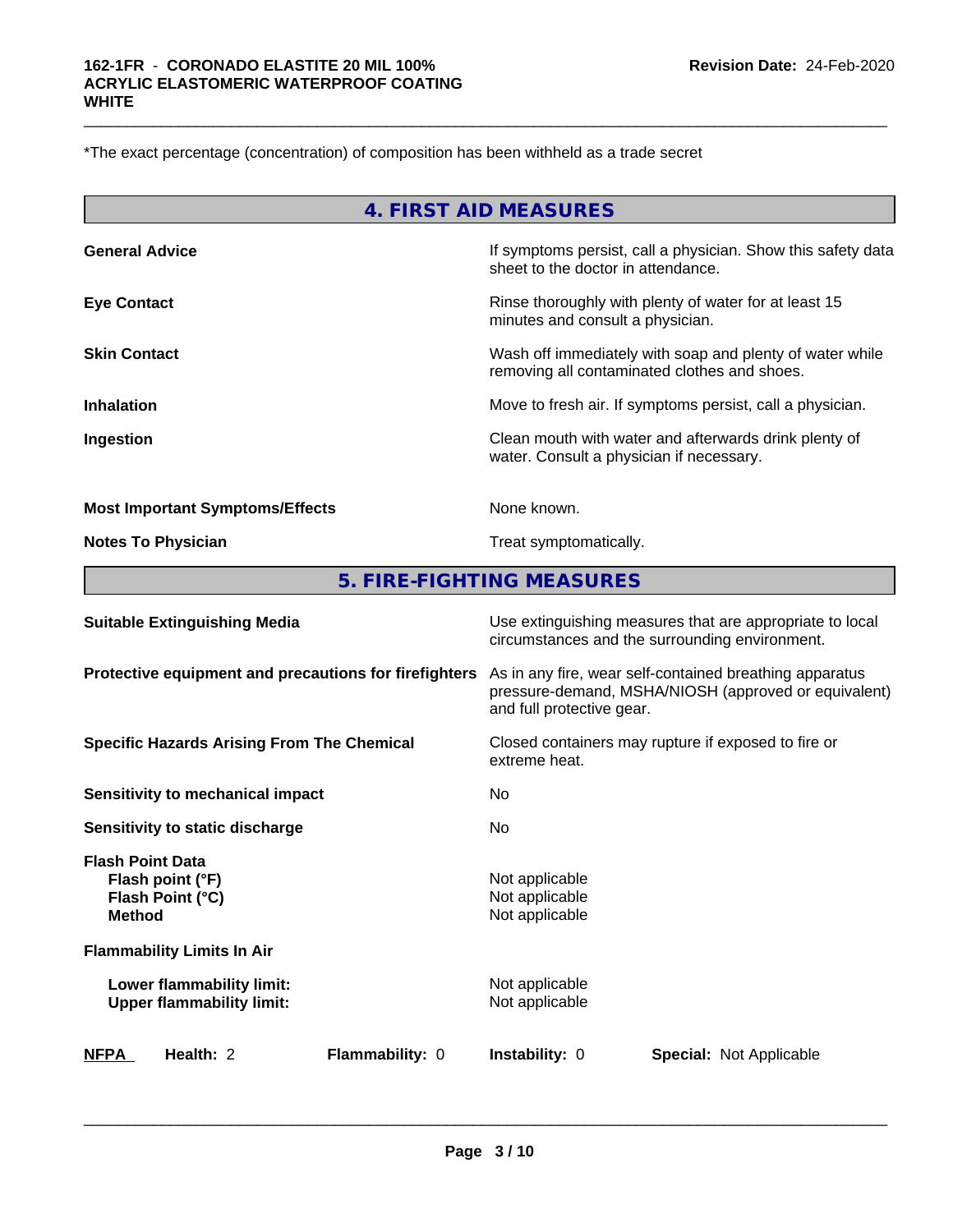\*The exact percentage (concentration) of composition has been withheld as a trade secret

|                                        | 4. FIRST AID MEASURES                                                                                    |
|----------------------------------------|----------------------------------------------------------------------------------------------------------|
| <b>General Advice</b>                  | If symptoms persist, call a physician. Show this safety data<br>sheet to the doctor in attendance.       |
| <b>Eye Contact</b>                     | Rinse thoroughly with plenty of water for at least 15<br>minutes and consult a physician.                |
| <b>Skin Contact</b>                    | Wash off immediately with soap and plenty of water while<br>removing all contaminated clothes and shoes. |
| <b>Inhalation</b>                      | Move to fresh air. If symptoms persist, call a physician.                                                |
| Ingestion                              | Clean mouth with water and afterwards drink plenty of<br>water. Consult a physician if necessary.        |
| <b>Most Important Symptoms/Effects</b> | None known.                                                                                              |

 $\_$  ,  $\_$  ,  $\_$  ,  $\_$  ,  $\_$  ,  $\_$  ,  $\_$  ,  $\_$  ,  $\_$  ,  $\_$  ,  $\_$  ,  $\_$  ,  $\_$  ,  $\_$  ,  $\_$  ,  $\_$  ,  $\_$  ,  $\_$  ,  $\_$  ,  $\_$  ,  $\_$  ,  $\_$  ,  $\_$  ,  $\_$  ,  $\_$  ,  $\_$  ,  $\_$  ,  $\_$  ,  $\_$  ,  $\_$  ,  $\_$  ,  $\_$  ,  $\_$  ,  $\_$  ,  $\_$  ,  $\_$  ,  $\_$  ,

**Notes To Physician** Motes To Physician Treat symptomatically.

**5. FIRE-FIGHTING MEASURES**

| <b>Suitable Extinguishing Media</b>                                              | Use extinguishing measures that are appropriate to local<br>circumstances and the surrounding environment.                                   |
|----------------------------------------------------------------------------------|----------------------------------------------------------------------------------------------------------------------------------------------|
| Protective equipment and precautions for firefighters                            | As in any fire, wear self-contained breathing apparatus<br>pressure-demand, MSHA/NIOSH (approved or equivalent)<br>and full protective gear. |
| <b>Specific Hazards Arising From The Chemical</b>                                | Closed containers may rupture if exposed to fire or<br>extreme heat.                                                                         |
| Sensitivity to mechanical impact                                                 | No.                                                                                                                                          |
| Sensitivity to static discharge                                                  | No                                                                                                                                           |
| <b>Flash Point Data</b><br>Flash point (°F)<br>Flash Point (°C)<br><b>Method</b> | Not applicable<br>Not applicable<br>Not applicable                                                                                           |
| <b>Flammability Limits In Air</b>                                                |                                                                                                                                              |
| Lower flammability limit:<br><b>Upper flammability limit:</b>                    | Not applicable<br>Not applicable                                                                                                             |
| <b>NFPA</b><br>Health: 2<br>Flammability: 0                                      | <b>Instability: 0</b><br><b>Special: Not Applicable</b>                                                                                      |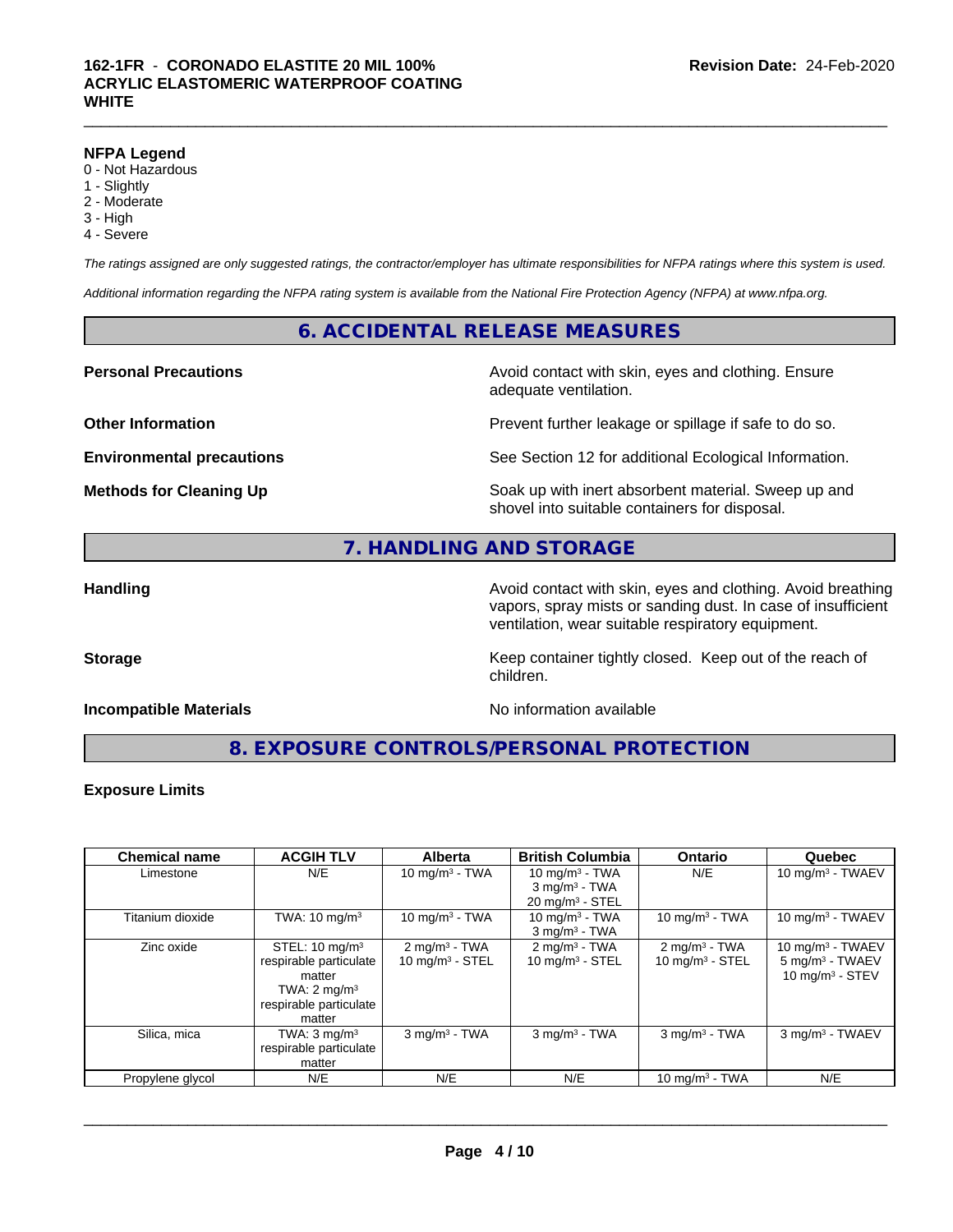#### **NFPA Legend**

- 0 Not Hazardous
- 1 Slightly
- 2 Moderate
- 3 High
- 4 Severe

*The ratings assigned are only suggested ratings, the contractor/employer has ultimate responsibilities for NFPA ratings where this system is used.*

*Additional information regarding the NFPA rating system is available from the National Fire Protection Agency (NFPA) at www.nfpa.org.*

### **6. ACCIDENTAL RELEASE MEASURES**

#### **Personal Precautions Avoid contact with skin, eyes and clothing. Ensure** Avoid contact with skin, eyes and clothing. Ensure

**Other Information Discription Prevent further leakage or spillage if safe to do so.** 

**Environmental precautions** See Section 12 for additional Ecological Information.

**Methods for Cleaning Up Example 20 Soak** up with inert absorbent material. Sweep up and shovel into suitable containers for disposal.

# **7. HANDLING AND STORAGE**

**Handling Handling Avoid contact with skin, eyes and clothing. Avoid breathing Handling Avoid breathing Avoid breathing** vapors, spray mists or sanding dust. In case of insufficient ventilation, wear suitable respiratory equipment.

**Storage Keep container tightly closed. Keep out of the reach of Keep** container tightly closed. Keep out of the reach of

#### **Incompatible Materials No information available**

adequate ventilation.

**8. EXPOSURE CONTROLS/PERSONAL PROTECTION**

children.

#### **Exposure Limits**

| <b>Chemical name</b> | <b>ACGIH TLV</b>                                                                                                             | <b>Alberta</b>                                 | <b>British Columbia</b>                                   | <b>Ontario</b>                                | Quebec                                                                           |
|----------------------|------------------------------------------------------------------------------------------------------------------------------|------------------------------------------------|-----------------------------------------------------------|-----------------------------------------------|----------------------------------------------------------------------------------|
| Limestone            | N/E                                                                                                                          | 10 mg/m $3 - TWA$                              | 10 mg/m $3$ - TWA                                         | N/E                                           | 10 mg/m $3$ - TWAEV                                                              |
|                      |                                                                                                                              |                                                | $3$ mg/m <sup>3</sup> - TWA<br>$20 \text{ mg/m}^3$ - STEL |                                               |                                                                                  |
| Titanium dioxide     | TWA: $10 \text{ mg/m}^3$                                                                                                     | 10 mg/m $3 - TWA$                              | 10 mg/m $3$ - TWA<br>$3$ mg/m $3$ - TWA                   | 10 mg/m $3$ - TWA                             | 10 mg/m $3$ - TWAEV                                                              |
| Zinc oxide           | STEL: $10 \text{ mg/m}^3$<br>respirable particulate<br>matter<br>TWA: $2 \text{ mg/m}^3$<br>respirable particulate<br>matter | $2 \text{ mg/m}^3$ - TWA<br>10 mg/m $3 -$ STEL | $2 \text{mq/m}^3$ - TWA<br>10 mg/m $3 -$ STEL             | $2 \text{mq/m}^3$ - TWA<br>10 mg/m $3 -$ STEL | 10 mg/m $3$ - TWAEV<br>5 mg/m <sup>3</sup> - TWAEV<br>$10 \text{ mg/m}^3$ - STEV |
| Silica, mica         | TWA: $3 \text{ mg/m}^3$<br>respirable particulate<br>matter                                                                  | $3$ mg/m <sup>3</sup> - TWA                    | $3$ mg/m $3$ - TWA                                        | $3$ mg/m <sup>3</sup> - TWA                   | 3 mg/m <sup>3</sup> - TWAEV                                                      |
| Propylene glycol     | N/E                                                                                                                          | N/E                                            | N/E                                                       | 10 mg/m $3$ - TWA                             | N/E                                                                              |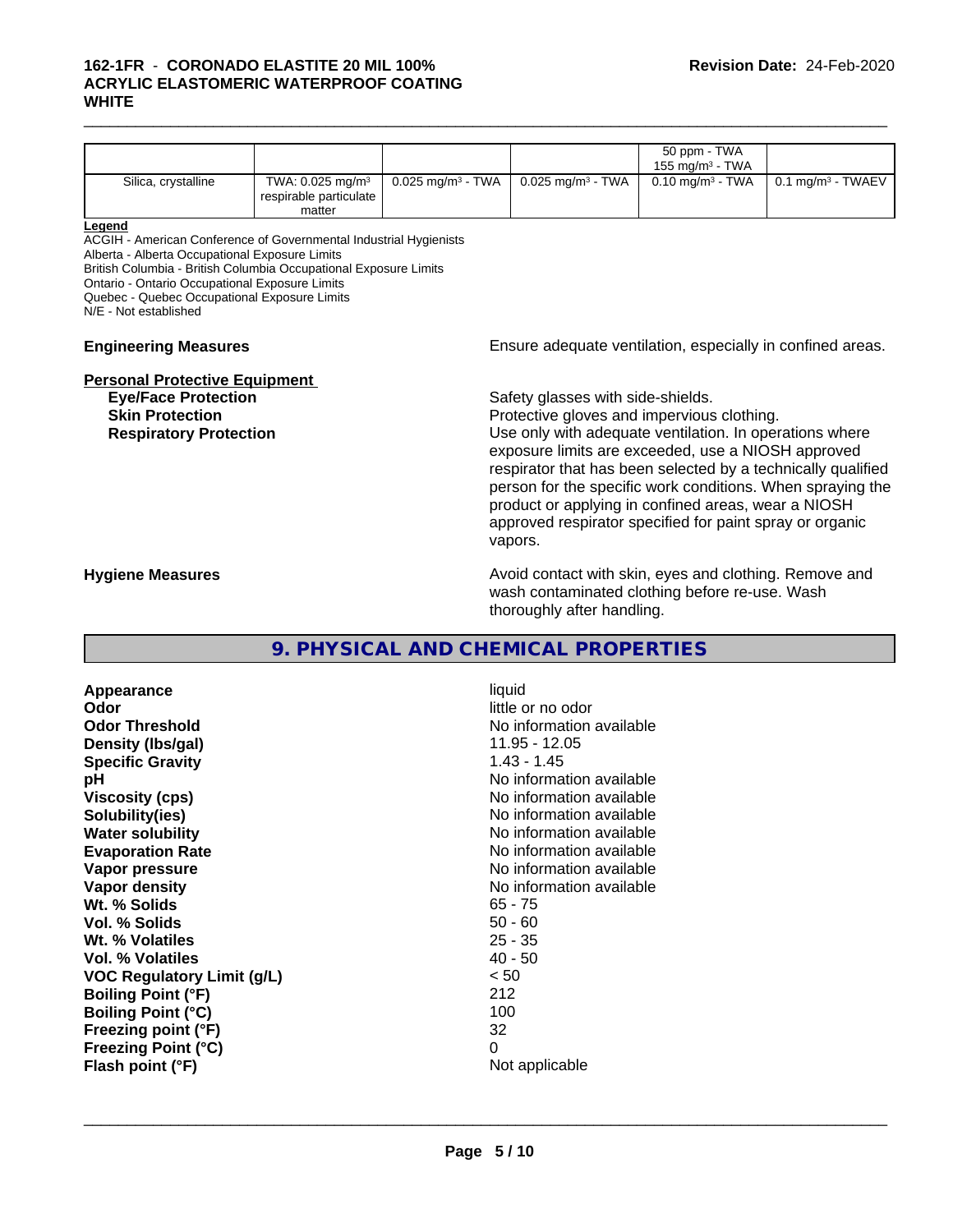#### $\_$  ,  $\_$  ,  $\_$  ,  $\_$  ,  $\_$  ,  $\_$  ,  $\_$  ,  $\_$  ,  $\_$  ,  $\_$  ,  $\_$  ,  $\_$  ,  $\_$  ,  $\_$  ,  $\_$  ,  $\_$  ,  $\_$  ,  $\_$  ,  $\_$  ,  $\_$  ,  $\_$  ,  $\_$  ,  $\_$  ,  $\_$  ,  $\_$  ,  $\_$  ,  $\_$  ,  $\_$  ,  $\_$  ,  $\_$  ,  $\_$  ,  $\_$  ,  $\_$  ,  $\_$  ,  $\_$  ,  $\_$  ,  $\_$  , **162-1FR** - **CORONADO ELASTITE 20 MIL 100% ACRYLIC ELASTOMERIC WATERPROOF COATING WHITE**

|                     |                                                                    |                                 |                                          | 50 ppm - TWA<br>155 mg/m $3$ - TWA |                                                                        |
|---------------------|--------------------------------------------------------------------|---------------------------------|------------------------------------------|------------------------------------|------------------------------------------------------------------------|
| Silica, crystalline | TWA: $0.025$ mg/m <sup>3</sup><br>respirable particulate<br>matter | $0.025$ mg/m <sup>3</sup> - TWA | $0.025 \text{ mg/m}^3$ - TWA $\parallel$ |                                    | 0.10 mg/m <sup>3</sup> - TWA $\parallel$ 0.1 mg/m <sup>3</sup> - TWAEV |

#### **Legend**

ACGIH - American Conference of Governmental Industrial Hygienists

Alberta - Alberta Occupational Exposure Limits

British Columbia - British Columbia Occupational Exposure Limits

Ontario - Ontario Occupational Exposure Limits

Quebec - Quebec Occupational Exposure Limits

N/E - Not established

#### **Engineering Measures Ensure adequate ventilation, especially in confined areas.**

#### **Personal Protective Equipment**

**Eye/Face Protection Safety glasses with side-shields.** 

**Skin Protection Protection Protective gloves and impervious clothing. Respiratory Protection Network 1** and the Use only with adequate ventilation. In operations where exposure limits are exceeded, use a NIOSH approved respirator that has been selected by a technically qualified person for the specific work conditions. When spraying the product or applying in confined areas, wear a NIOSH approved respirator specified for paint spray or organic vapors.

**Hygiene Measures Avoid contact with skin, eyes and clothing. Remove and Avoid contact with skin, eyes and clothing. Remove and Avoid contact with skin, eyes and clothing. Remove and** wash contaminated clothing before re-use. Wash thoroughly after handling.

# **9. PHYSICAL AND CHEMICAL PROPERTIES**

**Appearance** liquid **Odor** little or no odor **Odor Threshold No information available No information available Density (lbs/gal)** 11.95 - 12.05 **Specific Gravity** 1.43 - 1.45 **pH pH**  $\blacksquare$ **Viscosity (cps)** No information available in the Viscosity (cps) **Solubility(ies)** No information available **Water solubility Water solubility No information available Evaporation Rate No information available No information available Vapor pressure** No information available **Vapor density No information available No information available Wt. % Solids** 65 - 75<br> **Vol. % Solids** 65 - 76 **Vol. % Solids Wt. % Volatiles** 25 - 35 **Vol. % Volatiles** 40 - 50 **VOC Regulatory Limit (g/L)** < 50 **Boiling Point (°F)** 212 **Boiling Point (°C)** 100 **Freezing point (°F)** 32 **Freezing Point (°C)** 0 **Flash point (°F)** Not applicable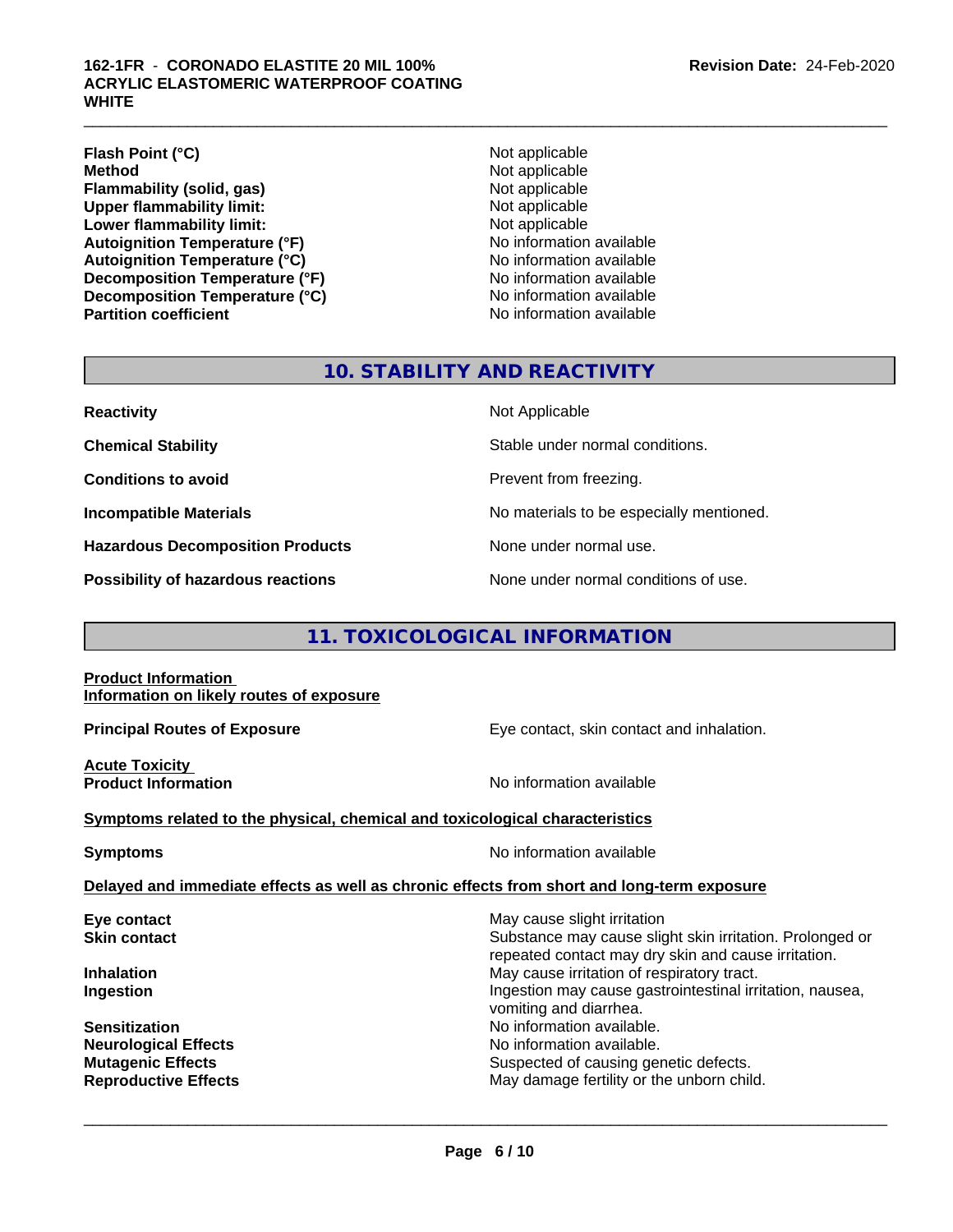#### **162-1FR** - **CORONADO ELASTITE 20 MIL 100% ACRYLIC ELASTOMERIC WATERPROOF COATING WHITE**

**Flash Point (°C)** Not applicable **Method** Not applicable **Flammability (solid, gas)** Not applicable **Upper flammability limit:** Not applicable **Lower flammability limit:** Not applicable **Autoignition Temperature (°F)**<br> **Autoignition Temperature (°C)** No information available **Autoignition Temperature (°C) Decomposition Temperature (°F)** No information available **Decomposition Temperature (°C)**<br> **Partition coefficient**<br> **Partition coefficient**<br> **No** information available

**No information available** 

 $\_$  ,  $\_$  ,  $\_$  ,  $\_$  ,  $\_$  ,  $\_$  ,  $\_$  ,  $\_$  ,  $\_$  ,  $\_$  ,  $\_$  ,  $\_$  ,  $\_$  ,  $\_$  ,  $\_$  ,  $\_$  ,  $\_$  ,  $\_$  ,  $\_$  ,  $\_$  ,  $\_$  ,  $\_$  ,  $\_$  ,  $\_$  ,  $\_$  ,  $\_$  ,  $\_$  ,  $\_$  ,  $\_$  ,  $\_$  ,  $\_$  ,  $\_$  ,  $\_$  ,  $\_$  ,  $\_$  ,  $\_$  ,  $\_$  ,

# **10. STABILITY AND REACTIVITY**

**Hazardous Decomposition Products** None under normal use.

**Possibility of hazardous reactions** None under normal conditions of use.

**Reactivity** Not Applicable

**Chemical Stability Stable under normal conditions.** 

**Conditions to avoid Prevent from freezing.** 

**Incompatible Materials No materials** No materials to be especially mentioned.

# **11. TOXICOLOGICAL INFORMATION**

**Product Information Information on likely routes of exposure**

**Principal Routes of Exposure Exposure** Eye contact, skin contact and inhalation.

**Acute Toxicity** 

**Product Information Information No information available** 

**Symptoms related to the physical,chemical and toxicological characteristics**

**Symptoms** No information available

 $\overline{\phantom{a}}$  ,  $\overline{\phantom{a}}$  ,  $\overline{\phantom{a}}$  ,  $\overline{\phantom{a}}$  ,  $\overline{\phantom{a}}$  ,  $\overline{\phantom{a}}$  ,  $\overline{\phantom{a}}$  ,  $\overline{\phantom{a}}$  ,  $\overline{\phantom{a}}$  ,  $\overline{\phantom{a}}$  ,  $\overline{\phantom{a}}$  ,  $\overline{\phantom{a}}$  ,  $\overline{\phantom{a}}$  ,  $\overline{\phantom{a}}$  ,  $\overline{\phantom{a}}$  ,  $\overline{\phantom{a}}$ 

#### **Delayed and immediate effects as well as chronic effects from short and long-term exposure**

| Eye contact                 | May cause slight irritation                              |
|-----------------------------|----------------------------------------------------------|
|                             |                                                          |
| <b>Skin contact</b>         | Substance may cause slight skin irritation. Prolonged or |
|                             | repeated contact may dry skin and cause irritation.      |
| <b>Inhalation</b>           | May cause irritation of respiratory tract.               |
| Ingestion                   | Ingestion may cause gastrointestinal irritation, nausea, |
|                             | vomiting and diarrhea.                                   |
| <b>Sensitization</b>        | No information available.                                |
| <b>Neurological Effects</b> | No information available.                                |
| <b>Mutagenic Effects</b>    | Suspected of causing genetic defects.                    |
| <b>Reproductive Effects</b> | May damage fertility or the unborn child.                |
|                             |                                                          |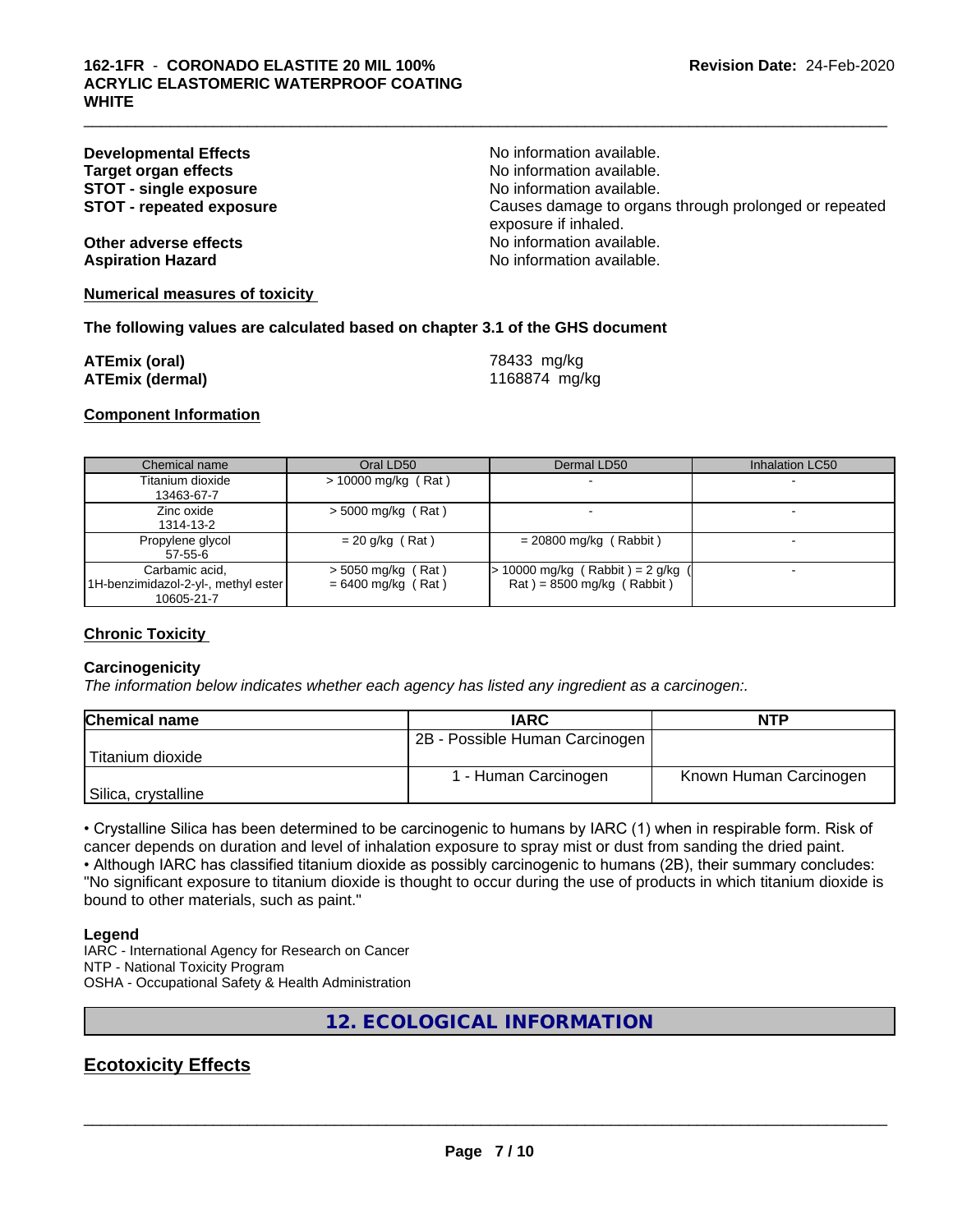| <b>Developmental Effects</b><br><b>Target organ effects</b><br><b>STOT - single exposure</b><br><b>STOT - repeated exposure</b> | No information available.<br>No information available.<br>No information available.<br>Causes damage to organs through prolonged or repeated<br>exposure if inhaled. |
|---------------------------------------------------------------------------------------------------------------------------------|----------------------------------------------------------------------------------------------------------------------------------------------------------------------|
| Other adverse effects                                                                                                           | No information available.                                                                                                                                            |
| <b>Aspiration Hazard</b>                                                                                                        | No information available.                                                                                                                                            |

 $\_$  ,  $\_$  ,  $\_$  ,  $\_$  ,  $\_$  ,  $\_$  ,  $\_$  ,  $\_$  ,  $\_$  ,  $\_$  ,  $\_$  ,  $\_$  ,  $\_$  ,  $\_$  ,  $\_$  ,  $\_$  ,  $\_$  ,  $\_$  ,  $\_$  ,  $\_$  ,  $\_$  ,  $\_$  ,  $\_$  ,  $\_$  ,  $\_$  ,  $\_$  ,  $\_$  ,  $\_$  ,  $\_$  ,  $\_$  ,  $\_$  ,  $\_$  ,  $\_$  ,  $\_$  ,  $\_$  ,  $\_$  ,  $\_$  ,

**Numerical measures of toxicity**

#### **The following values are calculated based on chapter 3.1 of the GHS document**

| <b>ATEmix (oral)</b>   | 78433 mg/kg   |
|------------------------|---------------|
| <b>ATEmix (dermal)</b> | 1168874 mg/kg |

#### **Component Information**

| Chemical name                                                       | Oral LD50                                    | Dermal LD50                                                    | Inhalation LC50 |
|---------------------------------------------------------------------|----------------------------------------------|----------------------------------------------------------------|-----------------|
| Titanium dioxide<br>13463-67-7                                      | $> 10000$ mg/kg (Rat)                        |                                                                |                 |
| Zinc oxide<br>1314-13-2                                             | $>$ 5000 mg/kg (Rat)                         |                                                                |                 |
| Propylene glycol<br>$57-55-6$                                       | $= 20$ g/kg (Rat)                            | $= 20800$ mg/kg (Rabbit)                                       |                 |
| Carbamic acid,<br>1H-benzimidazol-2-yl-, methyl ester<br>10605-21-7 | $>$ 5050 mg/kg (Rat)<br>$= 6400$ mg/kg (Rat) | 10000 mg/kg (Rabbit) = 2 g/kg (<br>$Rat$ = 8500 mg/kg (Rabbit) |                 |

#### **Chronic Toxicity**

#### **Carcinogenicity**

*The information below indicateswhether each agency has listed any ingredient as a carcinogen:.*

| <b>Chemical name</b> | <b>IARC</b>                    | <b>NTP</b>             |
|----------------------|--------------------------------|------------------------|
|                      | 2B - Possible Human Carcinogen |                        |
| Titanium dioxide     |                                |                        |
|                      | 1 - Human Carcinogen           | Known Human Carcinogen |
| Silica, crystalline  |                                |                        |

• Crystalline Silica has been determined to be carcinogenic to humans by IARC (1) when in respirable form. Risk of cancer depends on duration and level of inhalation exposure to spray mist or dust from sanding the dried paint.

• Although IARC has classified titanium dioxide as possibly carcinogenic to humans (2B), their summary concludes: "No significant exposure to titanium dioxide is thought to occur during the use of products in which titanium dioxide is bound to other materials, such as paint."

#### **Legend**

IARC - International Agency for Research on Cancer NTP - National Toxicity Program OSHA - Occupational Safety & Health Administration

**12. ECOLOGICAL INFORMATION**

# **Ecotoxicity Effects**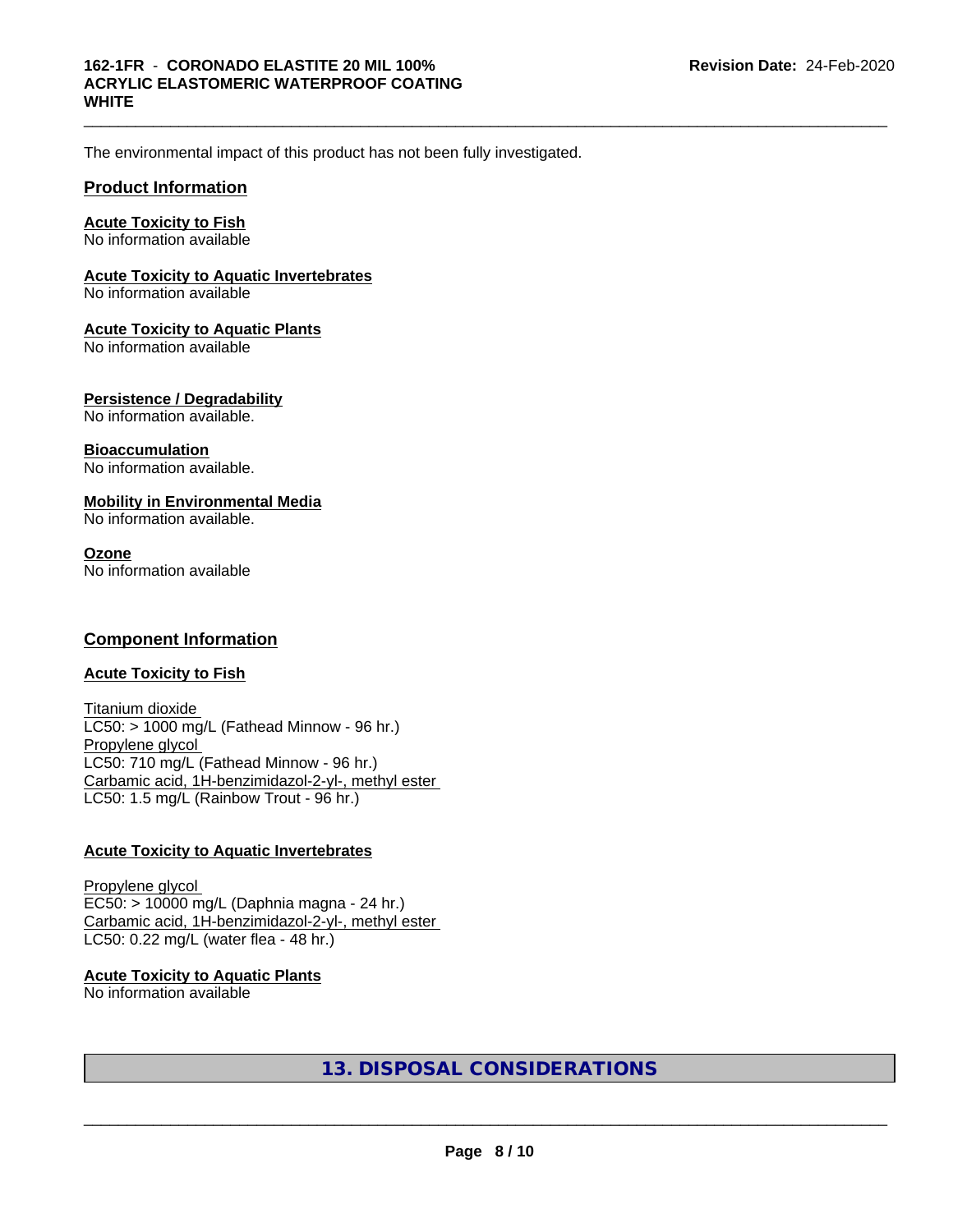$\_$  ,  $\_$  ,  $\_$  ,  $\_$  ,  $\_$  ,  $\_$  ,  $\_$  ,  $\_$  ,  $\_$  ,  $\_$  ,  $\_$  ,  $\_$  ,  $\_$  ,  $\_$  ,  $\_$  ,  $\_$  ,  $\_$  ,  $\_$  ,  $\_$  ,  $\_$  ,  $\_$  ,  $\_$  ,  $\_$  ,  $\_$  ,  $\_$  ,  $\_$  ,  $\_$  ,  $\_$  ,  $\_$  ,  $\_$  ,  $\_$  ,  $\_$  ,  $\_$  ,  $\_$  ,  $\_$  ,  $\_$  ,  $\_$  ,

### **162-1FR** - **CORONADO ELASTITE 20 MIL 100% ACRYLIC ELASTOMERIC WATERPROOF COATING WHITE**

The environmental impact of this product has not been fully investigated.

# **Product Information**

### **Acute Toxicity to Fish**

No information available

### **Acute Toxicity to Aquatic Invertebrates**

No information available

### **Acute Toxicity to Aquatic Plants**

No information available

### **Persistence / Degradability**

No information available.

#### **Bioaccumulation**

No information available.

### **Mobility in Environmental Media**

No information available.

#### **Ozone**

No information available

# **Component Information**

#### **Acute Toxicity to Fish**

Titanium dioxide  $LC50:$  > 1000 mg/L (Fathead Minnow - 96 hr.) Propylene glycol LC50: 710 mg/L (Fathead Minnow - 96 hr.) Carbamic acid, 1H-benzimidazol-2-yl-, methyl ester LC50: 1.5 mg/L (Rainbow Trout - 96 hr.)

# **Acute Toxicity to Aquatic Invertebrates**

Propylene glycol EC50: > 10000 mg/L (Daphnia magna - 24 hr.) Carbamic acid, 1H-benzimidazol-2-yl-, methyl ester LC50: 0.22 mg/L (water flea - 48 hr.)

# **Acute Toxicity to Aquatic Plants**

No information available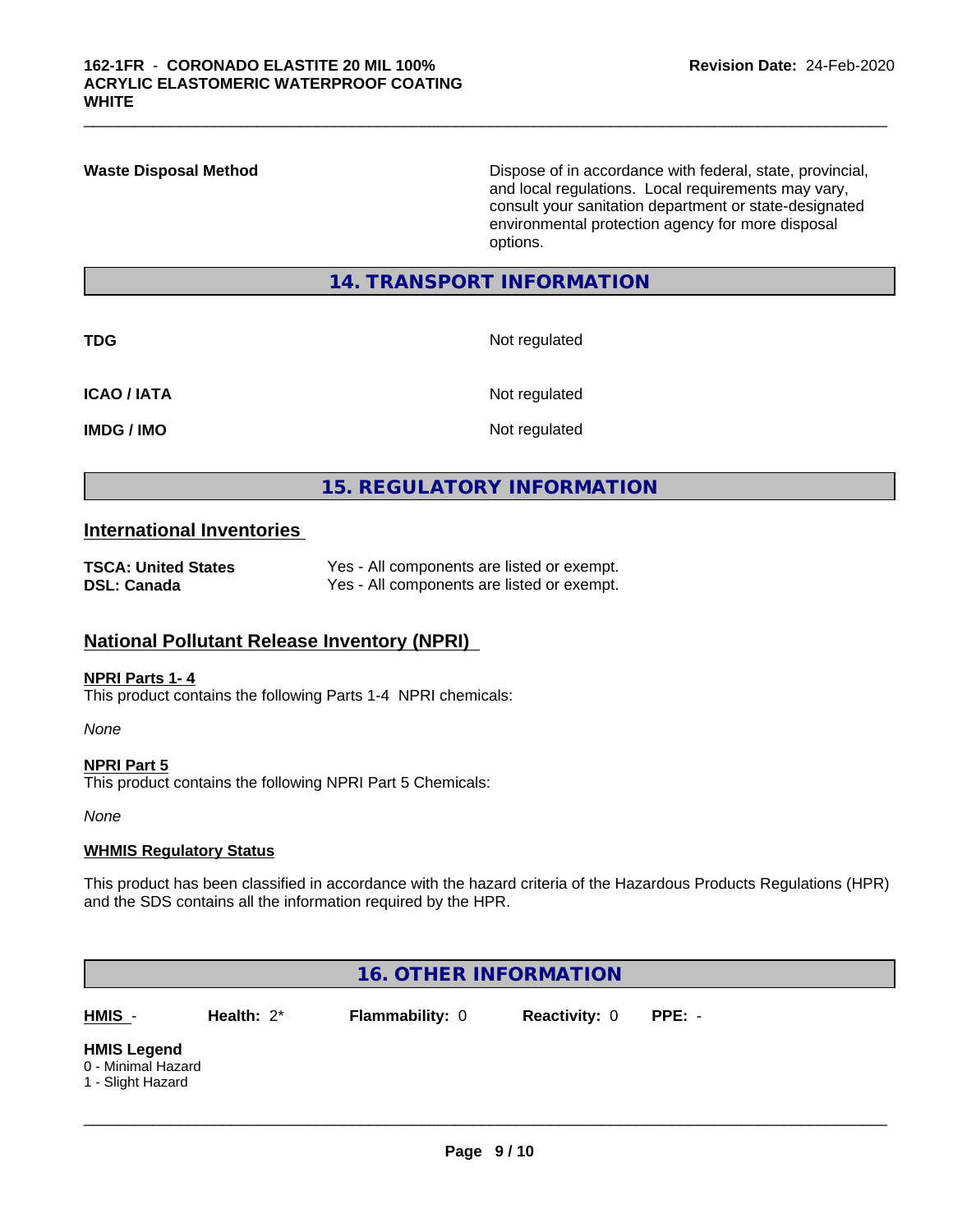**Waste Disposal Method** Dispose of in accordance with federal, state, provincial, and local regulations. Local requirements may vary, consult your sanitation department or state-designated environmental protection agency for more disposal options.

### **14. TRANSPORT INFORMATION**

**TDG** Not regulated

 $\_$  ,  $\_$  ,  $\_$  ,  $\_$  ,  $\_$  ,  $\_$  ,  $\_$  ,  $\_$  ,  $\_$  ,  $\_$  ,  $\_$  ,  $\_$  ,  $\_$  ,  $\_$  ,  $\_$  ,  $\_$  ,  $\_$  ,  $\_$  ,  $\_$  ,  $\_$  ,  $\_$  ,  $\_$  ,  $\_$  ,  $\_$  ,  $\_$  ,  $\_$  ,  $\_$  ,  $\_$  ,  $\_$  ,  $\_$  ,  $\_$  ,  $\_$  ,  $\_$  ,  $\_$  ,  $\_$  ,  $\_$  ,  $\_$  ,

| <b>ICAO / IATA</b> |  |  |
|--------------------|--|--|
|--------------------|--|--|

**Not regulated** 

**IMDG / IMO** Not regulated

# **15. REGULATORY INFORMATION**

# **International Inventories**

| <b>TSCA: United States</b> | Yes - All components are listed or exempt. |
|----------------------------|--------------------------------------------|
| <b>DSL: Canada</b>         | Yes - All components are listed or exempt. |

# **National Pollutant Release Inventory (NPRI)**

#### **NPRI Parts 1- 4**

This product contains the following Parts 1-4 NPRI chemicals:

*None*

**NPRI Part 5**

This product contains the following NPRI Part 5 Chemicals:

*None*

#### **WHMIS Regulatory Status**

This product has been classified in accordance with the hazard criteria of the Hazardous Products Regulations (HPR) and the SDS contains all the information required by the HPR.

| 16. OTHER INFORMATION                                         |               |                        |                      |          |  |  |  |
|---------------------------------------------------------------|---------------|------------------------|----------------------|----------|--|--|--|
| HMIS -                                                        | Health: $2^*$ | <b>Flammability: 0</b> | <b>Reactivity: 0</b> | $PPE: -$ |  |  |  |
| <b>HMIS Legend</b><br>0 - Minimal Hazard<br>1 - Slight Hazard |               |                        |                      |          |  |  |  |